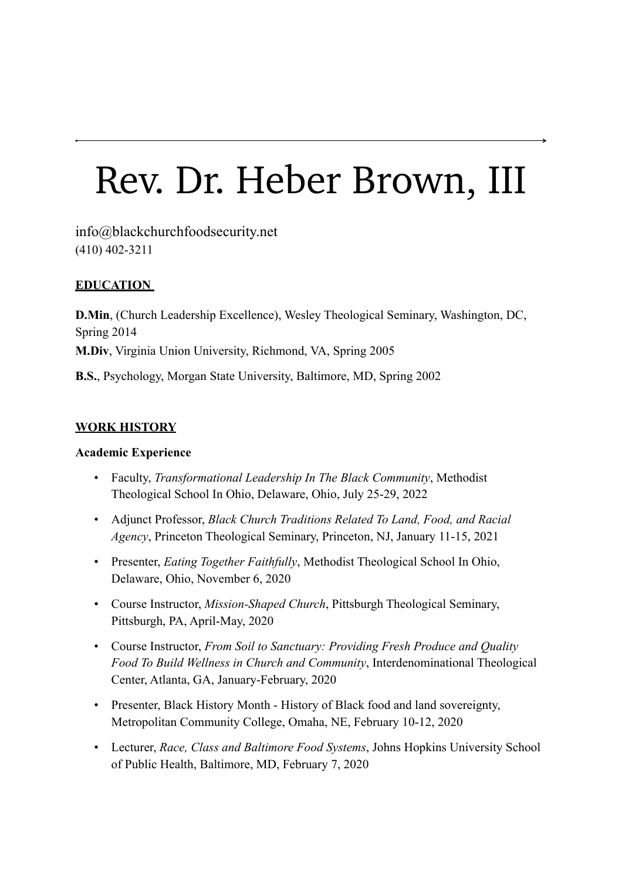# Rev. Dr. Heber Brown, III

info@blackchurchfoodsecurity.net (410) 402-3211

# **EDUCATION**

**D.Min**, (Church Leadership Excellence), Wesley Theological Seminary, Washington, DC, Spring 2014 **M.Div**, Virginia Union University, Richmond, VA, Spring 2005 **B.S.**, Psychology, Morgan State University, Baltimore, MD, Spring 2002

#### **WORK HISTORY**

#### **Academic Experience**

- Faculty, *Transformational Leadership In The Black Community*, Methodist Theological School In Ohio, Delaware, Ohio, July 25-29, 2022
- Adjunct Professor, *Black Church Traditions Related To Land, Food, and Racial Agency*, Princeton Theological Seminary, Princeton, NJ, January 11-15, 2021
- Presenter, *Eating Together Faithfully*, Methodist Theological School In Ohio, Delaware, Ohio, November 6, 2020
- Course Instructor, *Mission-Shaped Church*, Pittsburgh Theological Seminary, Pittsburgh, PA, April-May, 2020
- Course Instructor, *From Soil to Sanctuary: Providing Fresh Produce and Quality Food To Build Wellness in Church and Community*, Interdenominational Theological Center, Atlanta, GA, January-February, 2020
- Presenter, Black History Month History of Black food and land sovereignty, Metropolitan Community College, Omaha, NE, February 10-12, 2020
- Lecturer, *Race, Class and Baltimore Food Systems*, Johns Hopkins University School of Public Health, Baltimore, MD, February 7, 2020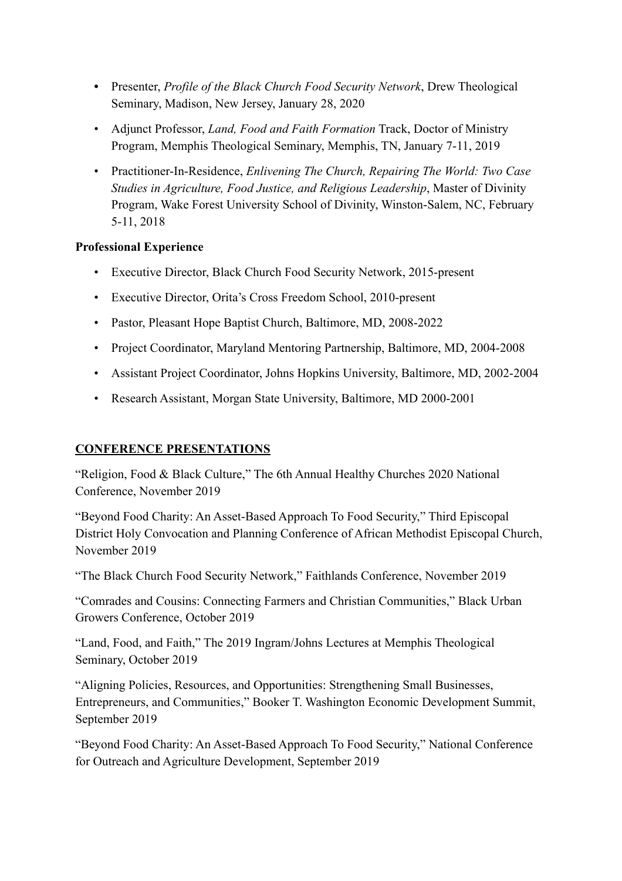- **•** Presenter, *Profile of the Black Church Food Security Network*, Drew Theological Seminary, Madison, New Jersey, January 28, 2020
- Adjunct Professor, *Land, Food and Faith Formation* Track, Doctor of Ministry Program, Memphis Theological Seminary, Memphis, TN, January 7-11, 2019
- Practitioner-In-Residence, *Enlivening The Church, Repairing The World: Two Case Studies in Agriculture, Food Justice, and Religious Leadership*, Master of Divinity Program, Wake Forest University School of Divinity, Winston-Salem, NC, February 5-11, 2018

## **Professional Experience**

- Executive Director, Black Church Food Security Network, 2015-present
- Executive Director, Orita's Cross Freedom School, 2010-present
- Pastor, Pleasant Hope Baptist Church, Baltimore, MD, 2008-2022
- Project Coordinator, Maryland Mentoring Partnership, Baltimore, MD, 2004-2008
- Assistant Project Coordinator, Johns Hopkins University, Baltimore, MD, 2002-2004
- Research Assistant, Morgan State University, Baltimore, MD 2000-2001

## **CONFERENCE PRESENTATIONS**

"Religion, Food & Black Culture," The 6th Annual Healthy Churches 2020 National Conference, November 2019

"Beyond Food Charity: An Asset-Based Approach To Food Security," Third Episcopal District Holy Convocation and Planning Conference of African Methodist Episcopal Church, November 2019

"The Black Church Food Security Network," Faithlands Conference, November 2019

"Comrades and Cousins: Connecting Farmers and Christian Communities," Black Urban Growers Conference, October 2019

"Land, Food, and Faith," The 2019 Ingram/Johns Lectures at Memphis Theological Seminary, October 2019

"Aligning Policies, Resources, and Opportunities: Strengthening Small Businesses, Entrepreneurs, and Communities," Booker T. Washington Economic Development Summit, September 2019

"Beyond Food Charity: An Asset-Based Approach To Food Security," National Conference for Outreach and Agriculture Development, September 2019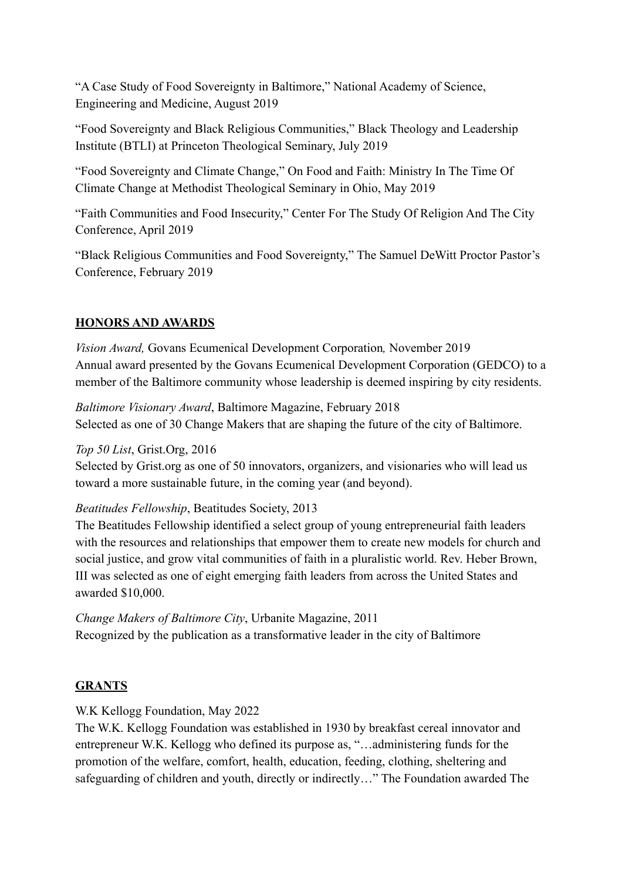"A Case Study of Food Sovereignty in Baltimore," National Academy of Science, Engineering and Medicine, August 2019

"Food Sovereignty and Black Religious Communities," Black Theology and Leadership Institute (BTLI) at Princeton Theological Seminary, July 2019

"Food Sovereignty and Climate Change," On Food and Faith: Ministry In The Time Of Climate Change at Methodist Theological Seminary in Ohio, May 2019

"Faith Communities and Food Insecurity," Center For The Study Of Religion And The City Conference, April 2019

"Black Religious Communities and Food Sovereignty," The Samuel DeWitt Proctor Pastor's Conference, February 2019

# **HONORS AND AWARDS**

*Vision Award,* Govans Ecumenical Development Corporation*,* November 2019 Annual award presented by the Govans Ecumenical Development Corporation (GEDCO) to a member of the Baltimore community whose leadership is deemed inspiring by city residents.

*Baltimore Visionary Award*, Baltimore Magazine, February 2018 Selected as one of 30 Change Makers that are shaping the future of the city of Baltimore.

*Top 50 List*, Grist.Org, 2016

Selected by Grist.org as one of 50 innovators, organizers, and visionaries who will lead us toward a more sustainable future, in the coming year (and beyond).

*Beatitudes Fellowship*, Beatitudes Society, 2013

The Beatitudes Fellowship identified a select group of young entrepreneurial faith leaders with the resources and relationships that empower them to create new models for church and social justice, and grow vital communities of faith in a pluralistic world. Rev. Heber Brown, III was selected as one of eight emerging faith leaders from across the United States and awarded \$10,000.

*Change Makers of Baltimore City*, Urbanite Magazine, 2011 Recognized by the publication as a transformative leader in the city of Baltimore

# **GRANTS**

W.K Kellogg Foundation, May 2022

The W.K. Kellogg Foundation was established in 1930 by breakfast cereal innovator and entrepreneur W.K. Kellogg who defined its purpose as, "…administering funds for the promotion of the welfare, comfort, health, education, feeding, clothing, sheltering and safeguarding of children and youth, directly or indirectly…" The Foundation awarded The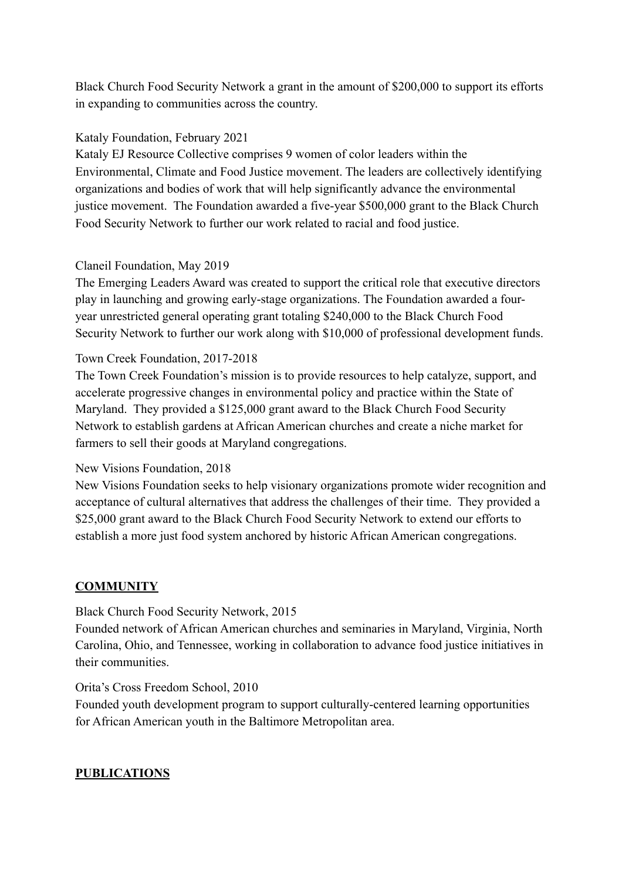Black Church Food Security Network a grant in the amount of \$200,000 to support its efforts in expanding to communities across the country.

#### Kataly Foundation, February 2021

Kataly EJ Resource Collective comprises 9 women of color leaders within the Environmental, Climate and Food Justice movement. The leaders are collectively identifying organizations and bodies of work that will help significantly advance the environmental justice movement. The Foundation awarded a five-year \$500,000 grant to the Black Church Food Security Network to further our work related to racial and food justice.

#### Claneil Foundation, May 2019

The Emerging Leaders Award was created to support the critical role that executive directors play in launching and growing early-stage organizations. The Foundation awarded a fouryear unrestricted general operating grant totaling \$240,000 to the Black Church Food Security Network to further our work along with \$10,000 of professional development funds.

#### Town Creek Foundation, 2017-2018

The Town Creek Foundation's mission is to provide resources to help catalyze, support, and accelerate progressive changes in environmental policy and practice within the State of Maryland. They provided a \$125,000 grant award to the Black Church Food Security Network to establish gardens at African American churches and create a niche market for farmers to sell their goods at Maryland congregations.

#### New Visions Foundation, 2018

New Visions Foundation seeks to help visionary organizations promote wider recognition and acceptance of cultural alternatives that address the challenges of their time. They provided a \$25,000 grant award to the Black Church Food Security Network to extend our efforts to establish a more just food system anchored by historic African American congregations.

## **COMMUNITY**

#### Black Church Food Security Network, 2015

Founded network of African American churches and seminaries in Maryland, Virginia, North Carolina, Ohio, and Tennessee, working in collaboration to advance food justice initiatives in their communities.

#### Orita's Cross Freedom School, 2010

Founded youth development program to support culturally-centered learning opportunities for African American youth in the Baltimore Metropolitan area.

## **PUBLICATIONS**